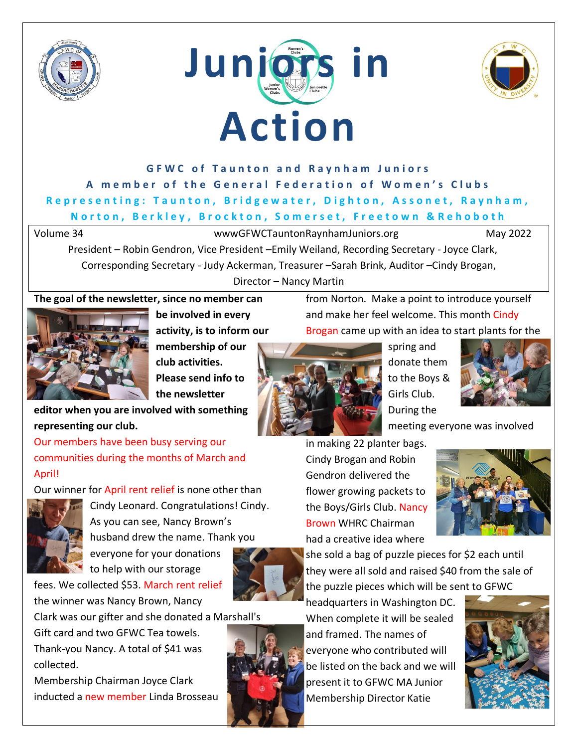





## **GFWC of Taunton and Raynham Juniors** A member of the General Federation of Women's Clubs **Representing: Taunton, Bridgewater, Dighton, Assonet, Raynham, N o r t o n , B e r k l e y , B r o c k t o n , S o m e r s e t , F r e e t o w n & R e h o b o t h**

Volume 34 wwwGFWCTauntonRaynhamJuniors.org May 2022

President – Robin Gendron, Vice President –Emily Weiland, Recording Secretary - Joyce Clark, Corresponding Secretary - Judy Ackerman, Treasurer –Sarah Brink, Auditor –Cindy Brogan, Director – Nancy Martin

### **The goal of the newsletter, since no member can**



**be involved in every activity, is to inform our** 

**membership of our club activities. Please send info to the newsletter** 

**editor when you are involved with something representing our club.**

Our members have been busy serving our communities during the months of March and April!

Our winner for April rent relief is none other than



Cindy Leonard. Congratulations! Cindy. As you can see, Nancy Brown's husband drew the name. Thank you everyone for your donations



fees. We collected \$53. March rent relief the winner was Nancy Brown, Nancy

Clark was our gifter and she donated a Marshall's

Gift card and two GFWC Tea towels. Thank-you Nancy. A total of \$41 was collected.

Membership Chairman Joyce Clark inducted a new member Linda Brosseau headquarters in Washington DC. When complete it will be sealed

and framed. The names of everyone who contributed will be listed on the back and we will present it to GFWC MA Junior Membership Director Katie



from Norton. Make a point to introduce yourself and make her feel welcome. This month Cindy Brogan came up with an idea to start plants for the



spring and donate them to the Boys & Girls Club. During the



meeting everyone was involved

in making 22 planter bags. Cindy Brogan and Robin Gendron delivered the flower growing packets to the Boys/Girls Club. Nancy Brown WHRC Chairman had a creative idea where



she sold a bag of puzzle pieces for \$2 each until they were all sold and raised \$40 from the sale of the puzzle pieces which will be sent to GFWC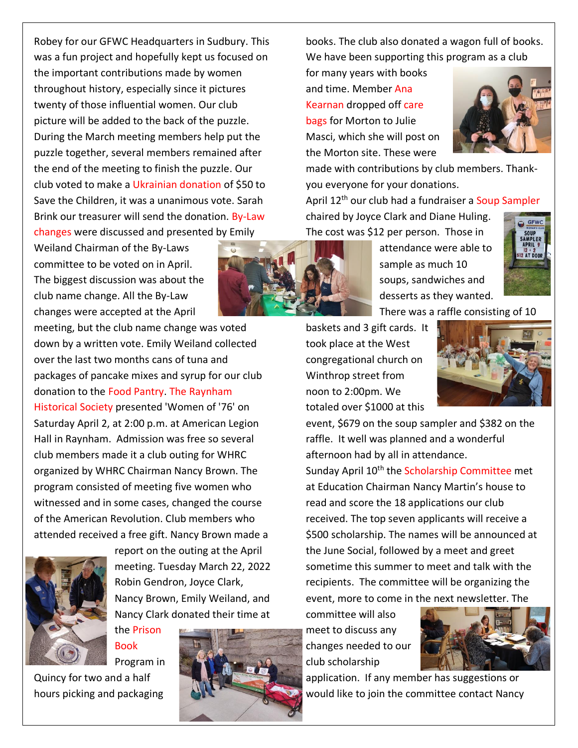Robey for our GFWC Headquarters in Sudbury. This was a fun project and hopefully kept us focused on the important contributions made by women throughout history, especially since it pictures twenty of those influential women. Our club picture will be added to the back of the puzzle. During the March meeting members help put the puzzle together, several members remained after the end of the meeting to finish the puzzle. Our club voted to make a Ukrainian donation of \$50 to Save the Children, it was a unanimous vote. Sarah Brink our treasurer will send the donation. By-Law changes were discussed and presented by Emily

Weiland Chairman of the By-Laws committee to be voted on in April. The biggest discussion was about the club name change. All the By-Law changes were accepted at the April

meeting, but the club name change was voted down by a written vote. Emily Weiland collected over the last two months cans of tuna and packages of pancake mixes and syrup for our club donation to the Food Pantry. The Raynham Historical Society presented 'Women of '76' on Saturday April 2, at 2:00 p.m. at American Legion Hall in Raynham. Admission was free so several club members made it a club outing for WHRC organized by WHRC Chairman Nancy Brown. The program consisted of meeting five women who witnessed and in some cases, changed the course of the American Revolution. Club members who attended received a free gift. Nancy Brown made a



report on the outing at the April meeting. Tuesday March 22, 2022 Robin Gendron, Joyce Clark, Nancy Brown, Emily Weiland, and Nancy Clark donated their time at

the Prison Book Program in

Quincy for two and a half hours picking and packaging



books. The club also donated a wagon full of books. We have been supporting this program as a club

for many years with books and time. Member Ana Kearnan dropped off care bags for Morton to Julie Masci, which she will post on the Morton site. These were



made with contributions by club members. Thankyou everyone for your donations.

April 12<sup>th</sup> our club had a fundraiser a Soup Sampler chaired by Joyce Clark and Diane Huling. The cost was \$12 per person. Those in



attendance were able to sample as much 10 soups, sandwiches and desserts as they wanted.



There was a raffle consisting of 10 baskets and 3 gift cards. It

took place at the West congregational church on Winthrop street from noon to 2:00pm. We totaled over \$1000 at this



event, \$679 on the soup sampler and \$382 on the raffle. It well was planned and a wonderful afternoon had by all in attendance.

Sunday April 10<sup>th</sup> the Scholarship Committee met at Education Chairman Nancy Martin's house to read and score the 18 applications our club received. The top seven applicants will receive a \$500 scholarship. The names will be announced at the June Social, followed by a meet and greet sometime this summer to meet and talk with the recipients. The committee will be organizing the event, more to come in the next newsletter. The

committee will also meet to discuss any changes needed to our club scholarship



application. If any member has suggestions or would like to join the committee contact Nancy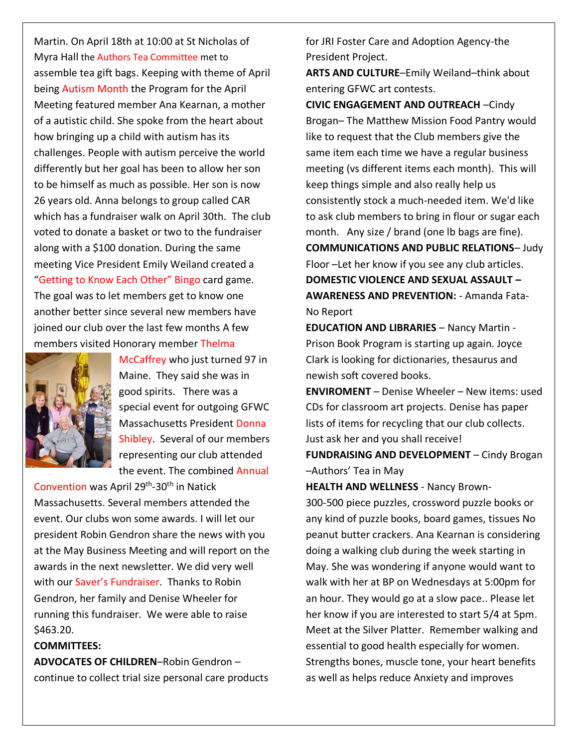Martin. On April 18th at 10:00 at St Nicholas of Myra Hall the Authors Tea Committee met to assemble tea gift bags. Keeping with theme of April being Autism Month the Program for the April Meeting featured member Ana Kearnan, a mother of a autistic child. She spoke from the heart about how bringing up a child with autism has its challenges. People with autism perceive the world differently but her goal has been to allow her son to be himself as much as possible. Her son is now 26 years old. Anna belongs to group called CAR which has a fundraiser walk on April 30th. The club voted to donate a basket or two to the fundraiser along with a \$100 donation. During the same meeting Vice President Emily Weiland created a "Getting to Know Each Other" Bingo card game. The goal was to let members get to know one another better since several new members have joined our club over the last few months A few members visited Honorary member Thelma



McCaffrey who just turned 97 in Maine. They said she was in good spirits. There was a special event for outgoing GFWC Massachusetts President Donna Shibley. Several of our members representing our club attended the event. The combined Annual

Convention was April 29<sup>th</sup>-30<sup>th</sup> in Natick Massachusetts. Several members attended the event. Our clubs won some awards. I will let our president Robin Gendron share the news with you at the May Business Meeting and will report on the awards in the next newsletter. We did very well with our Saver's Fundraiser. Thanks to Robin Gendron, her family and Denise Wheeler for running this fundraiser. We were able to raise \$463.20.

#### **COMMITTEES:**

**ADVOCATES OF CHILDREN**–Robin Gendron – continue to collect trial size personal care products for JRI Foster Care and Adoption Agency-the President Project.

**ARTS AND CULTURE**–Emily Weiland–think about entering GFWC art contests.

**CIVIC ENGAGEMENT AND OUTREACH** –Cindy Brogan– The Matthew Mission Food Pantry would like to request that the Club members give the same item each time we have a regular business meeting (vs different items each month). This will keep things simple and also really help us consistently stock a much-needed item. We'd like to ask club members to bring in flour or sugar each month. Any size / brand (one lb bags are fine). **COMMUNICATIONS AND PUBLIC RELATIONS**– Judy Floor –Let her know if you see any club articles. **DOMESTIC VIOLENCE AND SEXUAL ASSAULT – AWARENESS AND PREVENTION:** - Amanda Fata-No Report

**EDUCATION AND LIBRARIES** – Nancy Martin - Prison Book Program is starting up again. Joyce Clark is looking for dictionaries, thesaurus and newish soft covered books.

**ENVIROMENT** – Denise Wheeler – New items: used CDs for classroom art projects. Denise has paper lists of items for recycling that our club collects. Just ask her and you shall receive!

**FUNDRAISING AND DEVELOPMENT** – Cindy Brogan –Authors' Tea in May

**HEALTH AND WELLNESS** - Nancy Brown-

300-500 piece puzzles, crossword puzzle books or any kind of puzzle books, board games, tissues No peanut butter crackers. Ana Kearnan is considering doing a walking club during the week starting in May. She was wondering if anyone would want to walk with her at BP on Wednesdays at 5:00pm for an hour. They would go at a slow pace.. Please let her know if you are interested to start 5/4 at 5pm. Meet at the Silver Platter. Remember walking and essential to good health especially for women. Strengths bones, muscle tone, your heart benefits as well as helps reduce Anxiety and improves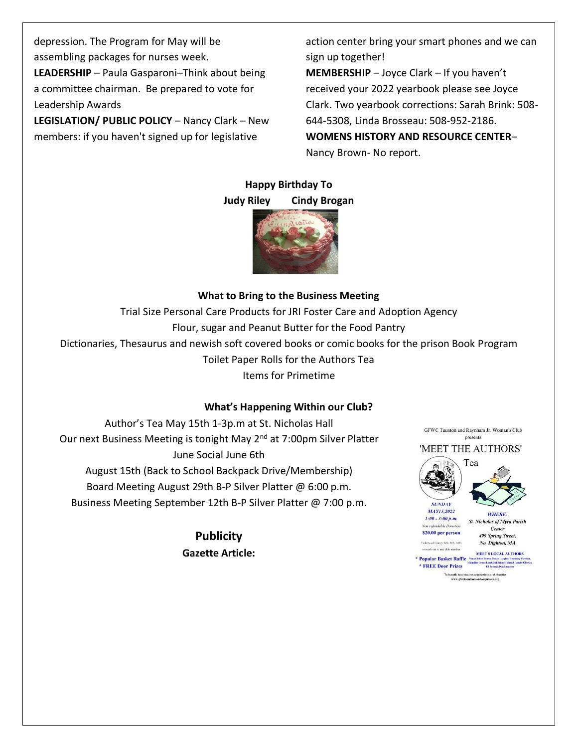depression. The Program for May will be assembling packages for nurses week. **LEADERSHIP** – Paula Gasparoni–Think about being a committee chairman. Be prepared to vote for Leadership Awards

**LEGISLATION/ PUBLIC POLICY** – Nancy Clark – New members: if you haven't signed up for legislative

action center bring your smart phones and we can sign up together!

**MEMBERSHIP** – Joyce Clark – If you haven't received your 2022 yearbook please see Joyce Clark. Two yearbook corrections: Sarah Brink: 508- 644-5308, Linda Brosseau: 508-952-2186. **WOMENS HISTORY AND RESOURCE CENTER**– Nancy Brown- No report.

#### **Happy Birthday To Judy Riley Cindy Brogan**



### **What to Bring to the Business Meeting**

Trial Size Personal Care Products for JRI Foster Care and Adoption Agency Flour, sugar and Peanut Butter for the Food Pantry Dictionaries, Thesaurus and newish soft covered books or comic books for the prison Book Program Toilet Paper Rolls for the Authors Tea Items for Primetime

#### **What's Happening Within our Club?**

Author's Tea May 15th 1-3p.m at St. Nicholas Hall Our next Business Meeting is tonight May 2<sup>nd</sup> at 7:00pm Silver Platter June Social June 6th August 15th (Back to School Backpack Drive/Membership) Board Meeting August 29th B-P Silver Platter @ 6:00 p.m. Business Meeting September 12th B-P Silver Platter @ 7:00 p.m.

> **Publicity Gazette Article:**



 $\label{thm:main} \begin{minipage}{0.9\linewidth} To benefit local student scholars  
this network, g  
Notauntoaraynhamjuniors.org \end{minipage}$